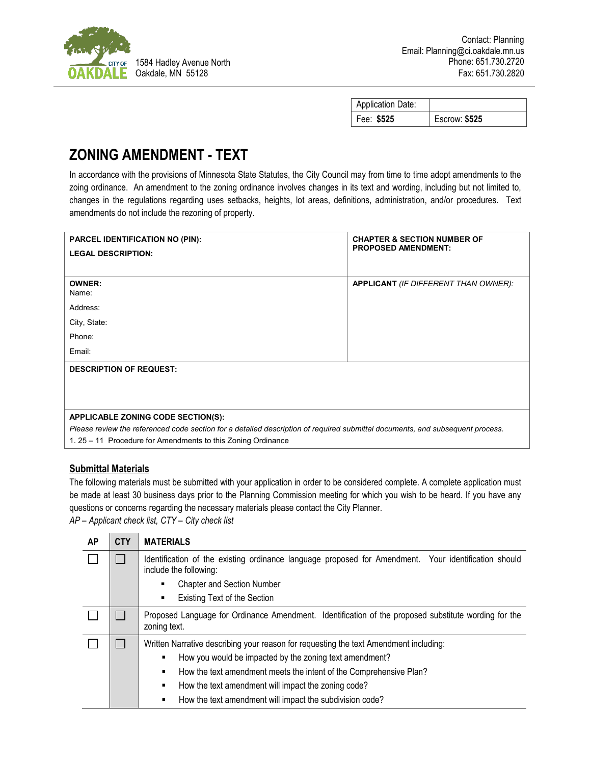

| <b>Application Date:</b> |                      |
|--------------------------|----------------------|
| Fee: \$525               | <b>Escrow: \$525</b> |

## **ZONING AMENDMENT - TEXT**

In accordance with the provisions of Minnesota State Statutes, the City Council may from time to time adopt amendments to the zoing ordinance. An amendment to the zoning ordinance involves changes in its text and wording, including but not limited to, changes in the regulations regarding uses setbacks, heights, lot areas, definitions, administration, and/or procedures. Text amendments do not include the rezoning of property.

| <b>PARCEL IDENTIFICATION NO (PIN):</b>                                                                                        | <b>CHAPTER &amp; SECTION NUMBER OF</b>      |  |  |  |
|-------------------------------------------------------------------------------------------------------------------------------|---------------------------------------------|--|--|--|
| <b>LEGAL DESCRIPTION:</b>                                                                                                     | <b>PROPOSED AMENDMENT:</b>                  |  |  |  |
|                                                                                                                               |                                             |  |  |  |
| <b>OWNER:</b><br>Name:                                                                                                        | <b>APPLICANT</b> (IF DIFFERENT THAN OWNER): |  |  |  |
| Address:                                                                                                                      |                                             |  |  |  |
| City, State:                                                                                                                  |                                             |  |  |  |
| Phone:                                                                                                                        |                                             |  |  |  |
| Email:                                                                                                                        |                                             |  |  |  |
| <b>DESCRIPTION OF REQUEST:</b>                                                                                                |                                             |  |  |  |
|                                                                                                                               |                                             |  |  |  |
|                                                                                                                               |                                             |  |  |  |
| APPLICABLE ZONING CODE SECTION(S):                                                                                            |                                             |  |  |  |
| Please review the referenced code section for a detailed description of required submittal documents, and subsequent process. |                                             |  |  |  |
| 1. 25 – 11 Procedure for Amendments to this Zoning Ordinance                                                                  |                                             |  |  |  |

## **Submittal Materials**

The following materials must be submitted with your application in order to be considered complete. A complete application must be made at least 30 business days prior to the Planning Commission meeting for which you wish to be heard. If you have any questions or concerns regarding the necessary materials please contact the City Planner.

*AP – Applicant check list, CTY – City check list*

| AP | <b>CTY</b> | <b>MATERIALS</b>                                                                                                                                                                                                                                                                                                                               |  |
|----|------------|------------------------------------------------------------------------------------------------------------------------------------------------------------------------------------------------------------------------------------------------------------------------------------------------------------------------------------------------|--|
|    |            | Identification of the existing ordinance language proposed for Amendment. Your identification should<br>include the following:<br><b>Chapter and Section Number</b><br>٠<br>Existing Text of the Section<br>٠                                                                                                                                  |  |
|    |            | Proposed Language for Ordinance Amendment. Identification of the proposed substitute wording for the<br>zoning text.                                                                                                                                                                                                                           |  |
|    |            | Written Narrative describing your reason for requesting the text Amendment including:<br>How you would be impacted by the zoning text amendment?<br>How the text amendment meets the intent of the Comprehensive Plan?<br>٠<br>How the text amendment will impact the zoning code?<br>How the text amendment will impact the subdivision code? |  |